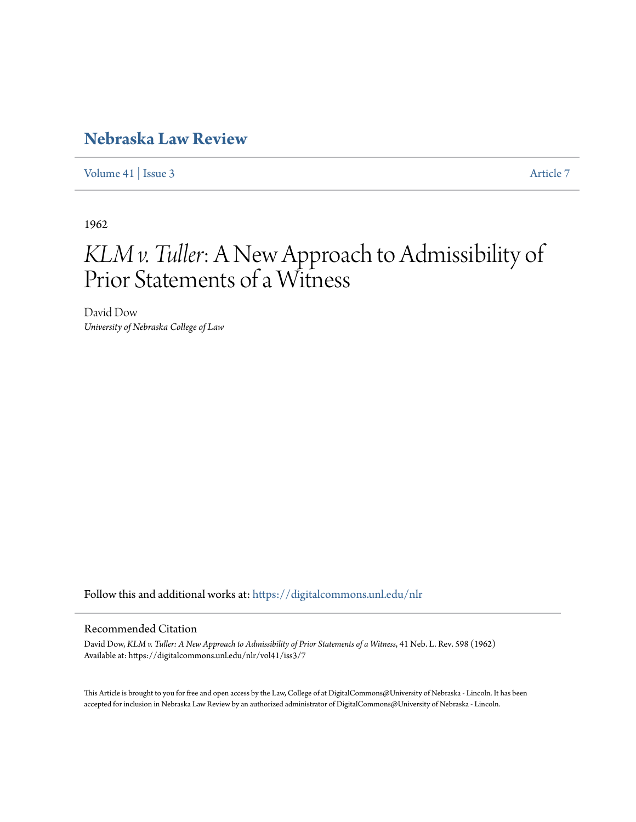# **[Nebraska Law Review](https://digitalcommons.unl.edu/nlr?utm_source=digitalcommons.unl.edu%2Fnlr%2Fvol41%2Fiss3%2F7&utm_medium=PDF&utm_campaign=PDFCoverPages)**

[Volume 41](https://digitalcommons.unl.edu/nlr/vol41?utm_source=digitalcommons.unl.edu%2Fnlr%2Fvol41%2Fiss3%2F7&utm_medium=PDF&utm_campaign=PDFCoverPages) | [Issue 3](https://digitalcommons.unl.edu/nlr/vol41/iss3?utm_source=digitalcommons.unl.edu%2Fnlr%2Fvol41%2Fiss3%2F7&utm_medium=PDF&utm_campaign=PDFCoverPages) [Article 7](https://digitalcommons.unl.edu/nlr/vol41/iss3/7?utm_source=digitalcommons.unl.edu%2Fnlr%2Fvol41%2Fiss3%2F7&utm_medium=PDF&utm_campaign=PDFCoverPages)

1962

# *KLM v. Tuller*: A New Approach to Admissibility of Prior Statements of a Witness

David Dow *University of Nebraska College of Law*

Follow this and additional works at: [https://digitalcommons.unl.edu/nlr](https://digitalcommons.unl.edu/nlr?utm_source=digitalcommons.unl.edu%2Fnlr%2Fvol41%2Fiss3%2F7&utm_medium=PDF&utm_campaign=PDFCoverPages)

## Recommended Citation

David Dow, *KLM v. Tuller: A New Approach to Admissibility of Prior Statements of a Witness*, 41 Neb. L. Rev. 598 (1962) Available at: https://digitalcommons.unl.edu/nlr/vol41/iss3/7

This Article is brought to you for free and open access by the Law, College of at DigitalCommons@University of Nebraska - Lincoln. It has been accepted for inclusion in Nebraska Law Review by an authorized administrator of DigitalCommons@University of Nebraska - Lincoln.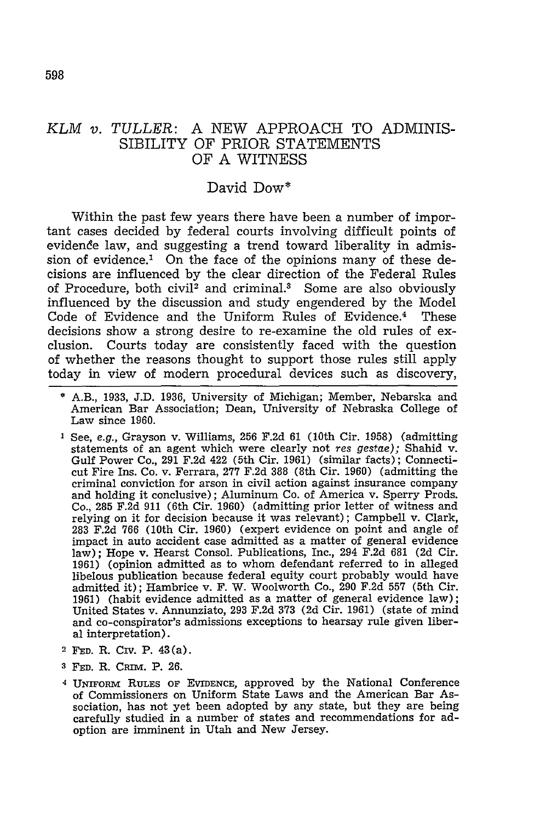### *KLM v. TULLER:* A NEW APPROACH TO ADMINIS-SIBILITY OF PRIOR STATEMENTS OF **A** WITNESS

#### David Dow\*

Within the past few years there have been a number of important cases decided by federal courts involving difficult points of evidence law, and suggesting a trend toward liberality in admission of evidence.' On the face of the opinions many of these decisions are influenced by the clear direction of the Federal Rules of Procedure, both civil<sup>2</sup> and criminal.<sup>3</sup> Some are also obviously influenced by the discussion and study engendered by the Model Code of Evidence and the Uniform Rules of Evidence.<sup>4</sup> These decisions show a strong desire to re-examine the old rules of exclusion. Courts today are consistently faced with the question of whether the reasons thought to support those rules still apply today in view of modern procedural devices such as discovery,

- \* A.B., 1933, J.D. 1936, University of Michigan; Member, Nebarska and American Bar Association; Dean, University of Nebraska College of Law since 1960.
- **<sup>I</sup>**See, e.g., Grayson v. Williams, 256 F.2d 61 (10th Cir. 1958) (admitting statements of an agent which were clearly not res *gestae);* Shahid v. Gulf Power Co., 291 F.2d 422 (5th Cir. 1961) (similar facts); Connecticut Fire Ins. Co. v. Ferrara, 277 F.2d 388 (8th Cir. 1960) (admitting the criminal conviction for arson in civil action against insurance company and holding it conclusive); Aluminum Co. of America v. Sperry Prods. Co., 285 F.2d 911 (6th Cir. 1960) (admitting prior letter of witness and relying on it for decision because it was relevant); Campbell v. Clark, 283 F.2d **766** (10th Cir. 1960) (expert evidence on point and angle of impact in auto accident case admitted as a matter of general evidence law); Hope v. Hearst Consol. Publications, Inc., 294 F.2d 681 (2d Cir. 1961) (opinion admitted as to whom defendant referred to in alleged libelous publication because federal equity court probably would have admitted it); Hambrice v. F. W. Woolworth Co., 290 F.2d **557** (5th Cir. 1961) (habit evidence admitted as a matter of general evidence law); United States v. Annunziato, 293 F.2d **373** (2d Cir. 1961) (state of mind and co-conspirator's admissions exceptions to hearsay rule given liberal interpretation).
- **2 FED.** R. Civ. P. 43(a).
- **<sup>3</sup>**FED. R. Caim. P. **26.**
- **<sup>4</sup>**UNIFORM RULEs OF EVIDENCE, approved by the National Conference of Commissioners on Uniform State Laws and the American Bar Association, has not yet been adopted by any state, but they are being carefully studied in a number of states and recommendations for adoption are imminent in Utah and New Jersey.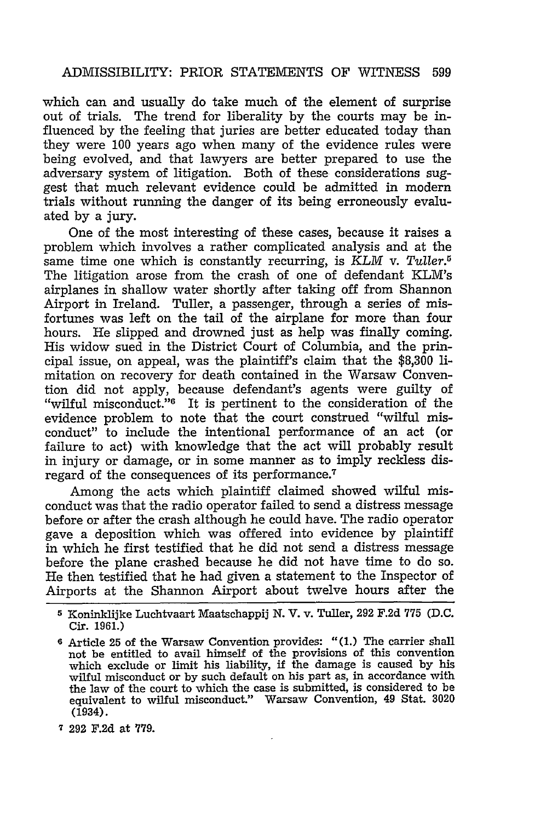which can and usually do take much of the element of surprise out of trials. The trend for liberality by the courts may be influenced by the feeling that juries are better educated today than they were **100** years ago when many of the evidence rules were being evolved, and that lawyers are better prepared to use the adversary system of litigation. Both of these considerations suggest that much relevant evidence could be admitted in modern trials without running the danger of its being erroneously evaluated by a jury.

One of the most interesting of these cases, because it raises a problem which involves a rather complicated analysis and at the same time one which is constantly recurring, is *KLM* v. *Tuller.* The litigation arose from the crash of one of defendant KLM's airplanes in shallow water shortly after taking off from Shannon Airport in Ireland. Tuller, a passenger, through a series of misfortunes was left on the tail of the airplane for more than four hours. He slipped and drowned just as help was finally coming. His widow sued in the District Court of Columbia, and the principal issue, on appeal, was the plaintiff's claim that the \$8,300 limitation on recovery for death contained in the Warsaw Convention did not apply, because defendant's agents were guilty of "wilful misconduct."6 It is pertinent to the consideration of the evidence problem to note that the court construed "wilful misconduct" to include the intentional performance of an act (or failure to act) with knowledge that the act will probably result in injury or damage, or in some manner as to imply reckless disregard of the consequences of its performance.<sup>7</sup>

Among the acts which plaintiff claimed showed wilful misconduct was that the radio operator failed to send a distress message before or after the crash although he could have. The radio operator gave a deposition which was offered into evidence by plaintiff in which he first testified that he did not send a distress message before the plane crashed because he did not have time to do so. He then testified that he had given a statement to the Inspector of Airports at the Shannon Airport about twelve hours after the

**<sup>5</sup>** Koninklijke Luchtvaart Maatschappij N. V. v. Tuller, 292 F.2d **775** (D.C. Cir. 1961.)

**<sup>6</sup>** Article 25 of the Warsaw Convention provides: **"(1.)** The carrier shall not be entitled to avail himself of the provisions of this convention which exclude or limit his liability, **if** the damage is caused by his wilful misconduct or by such default on his part as, in accordance with the law of the court to which the case is submitted, is considered to be equivalent to wilful misconduct." Warsaw Convention, 49 Stat. **3020** (1934).

**<sup>7 292</sup>** F.2d at 779.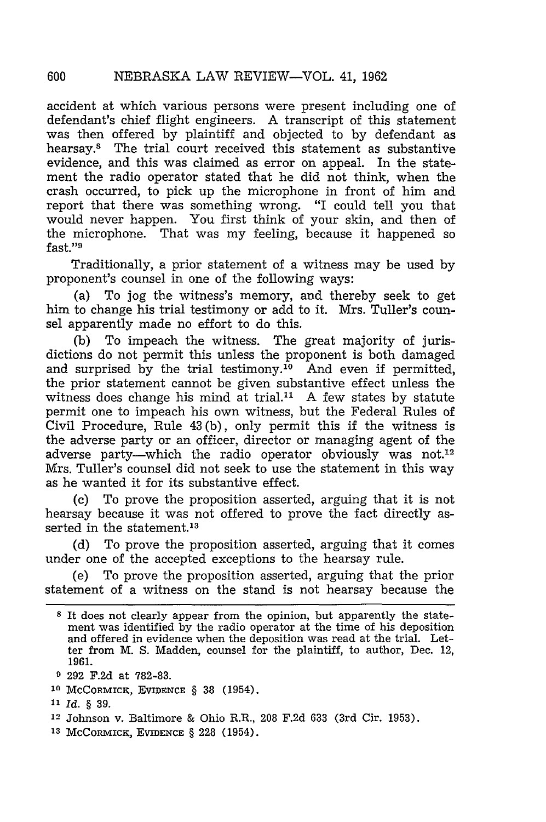accident at which various persons were present including one of defendant's chief flight engineers. A transcript of this statement was then offered by plaintiff and objected to by defendant as hearsay.8 The trial court received this statement as substantive evidence, and this was claimed as error on appeal. In the statement the radio operator stated that he did not think, when the crash occurred, to pick up the microphone in front of him and report that there was something wrong. "I could tell you that would never happen. You first think of your skin, and then of the microphone. That was my feeling, because it happened so fast."9

Traditionally, a prior statement of a witness may be used by proponent's counsel in one of the following ways:

(a) To jog the witness's memory, and thereby seek to get him to change his trial testimony or add to it. Mrs. Tuller's counsel apparently made no effort to do this.

(b) To impeach the witness. The great majority of jurisdictions do not permit this unless the proponent is both damaged and surprised by the trial testimony.<sup>10</sup> And even if permitted, the prior statement cannot be given substantive effect unless the witness does change his mind at trial. $11$  A few states by statute permit one to impeach his own witness, but the Federal Rules of Civil Procedure, Rule 43 (b), only permit this if the witness is the adverse party or an officer, director or managing agent of the adverse party—which the radio operator obviously was not.<sup>12</sup> Mrs. Tuller's counsel did not seek to use the statement in this way as he wanted it for its substantive effect.

(c) To prove the proposition asserted, arguing that it is not hearsay because it was not offered to prove the fact directly asserted in the statement.<sup>13</sup>

(d) To prove the proposition asserted, arguing that it comes under one of the accepted exceptions to the hearsay rule.

(e) To prove the proposition asserted, arguing that the prior statement of a witness on the stand is not hearsay because the

600

**<sup>8</sup>** It does not clearly appear from the opinion, but apparently the statement was identified by the radio operator at the time of his deposition and offered in evidence when the deposition was read at the trial. Letter from M. S. Madden, counsel for the plaintiff, to author, Dec. 12, 1961.

**<sup>9</sup> 292 F.2d** at **782-83.**

**<sup>10</sup>** MCCORMICK, EVIDENCE § 38 (1954).

**<sup>11</sup>***Id.* § 39.

**<sup>12</sup>**Johnson v. Baltimore & Ohio R.R., **208** F.2d 633 (3rd Cir. 1953).

**<sup>13</sup>** McComvixcx, **EVIDENCE** § **228** (1954).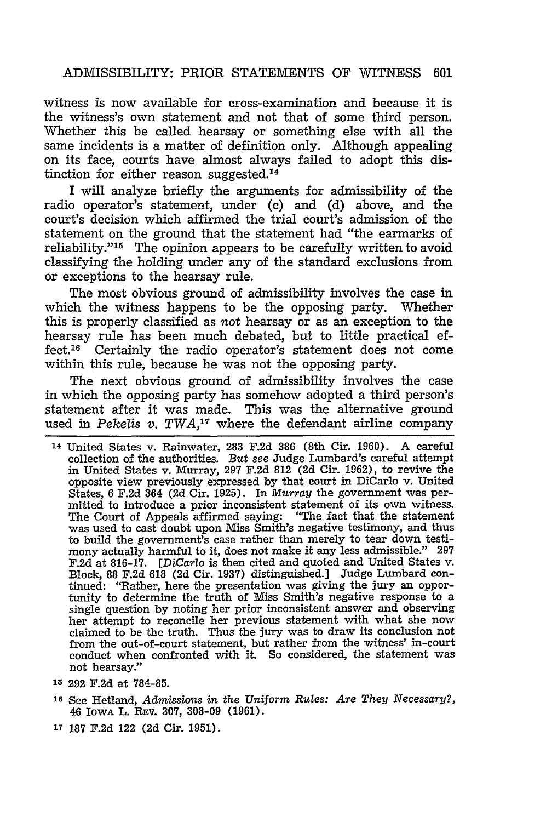witness is now available for cross-examination and because it is the witness's own statement and not that of some third person. Whether this be called hearsay or something else with all the same incidents is a matter of definition only. Although appealing on its face, courts have almost always failed to adopt this distinction for either reason suggested.<sup>14</sup>

I will analyze briefly the arguments for admissibility of the radio operator's statement, under (c) and (d) above, and the court's decision which affirmed the trial court's admission of the statement on the ground that the statement had "the earmarks of reliability."<sup>15</sup> The opinion appears to be carefully written to avoid classifying the holding under any of the standard exclusions from or exceptions to the hearsay rule.

The most obvious ground of admissibility involves the case in which the witness happens to be the opposing party. Whether this is properly classified as not hearsay or as an exception to the hearsay rule has been much debated, but to little practical effect.16 Certainly the radio operator's statement does not come within this rule, because he was not the opposing party.

The next obvious ground of admissibility involves the case in which the opposing party has somehow adopted a third person's statement after it was made. This was the alternative ground used in *Pekelis v. TWA*,<sup>17</sup> where the defendant airline company

- **<sup>15</sup>**292 F.2d at 784-85.
- **<sup>16</sup>**See Hetland, *Admissions in the Uniform Rules: Are They Necessary?,* 46 IowA L. REV. **307,** 308-09 (1961).
- **17 187** F.2d 122 (2d Cir. 1951).

**<sup>14</sup>**United States v. Rainwater, 283 F.2d 386 (8th Cir. 1960). A careful collection of the authorities. *But* see Judge Lumbard's careful attempt in United States v. Murray, 297 F.2d 812 (2d Cir. 1962), to revive the opposite view previously expressed by that court in DiCarlo v. United States, 6 F.2d 364 (2d Cir. 1925). In Murray the government was permitted to introduce a prior inconsistent statement of its own witness. The Court of Appeals affirmed saying: "The fact that the statement was used to cast doubt upon Miss Smith's negative testimony, and thus to build the government's case rather than merely to tear down testimony actually harmful to it, does not make it any less admissible." 297 F.2d at 816-17. *[DiCarlo* is then cited and quoted and United States v. Block, 88 F.2d 618 (2d Cir. 1937) distinguished.] Judge Lumbard continued: "Rather, here the presentation was giving the jury an opportunity to determine the truth of Miss Smith's negative response to a single question by noting her prior inconsistent answer and observing her attempt to reconcile her previous statement with what she now claimed to be the truth. Thus the jury was to draw its conclusion not from the out-of-court statement, but rather from the witness' in-court conduct when confronted with it. So considered, the statement was not hearsay."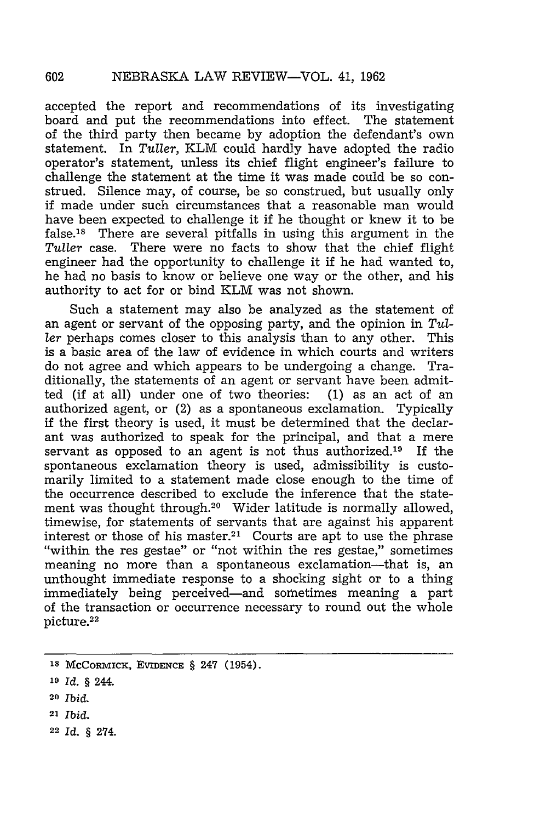accepted the report and recommendations of its investigating board and put the recommendations into effect. The statement of the third party then became by adoption the defendant's own statement. In *Tuller,* KLM could hardly have adopted the radio operator's statement, unless its chief flight engineer's failure to challenge the statement at the time it was made could be so construed. Silence may, of course, be so construed, but usually only if made under such circumstances that a reasonable man would have been expected to challenge it if he thought or knew it to be false.<sup>18</sup> There are several pitfalls in using this argument in the *Tuller* case. There were no facts to show that the chief flight engineer had the opportunity to challenge it if he had wanted to, he had no basis to know or believe one way or the other, and his authority to act for or bind KLM was not shown.

Such a statement may also be analyzed as the statement of an agent or servant of the opposing party, and the opinion in *Tuller* perhaps comes closer to this analysis than to any other. This is a basic area of the law of evidence in which courts and writers do not agree and which appears to be undergoing a change. Traditionally, the statements of an agent or servant have been admitted (if at all) under one of two theories: (1) as an act of an authorized agent, or (2) as a spontaneous exclamation. Typically if the first theory is used, it must be determined that the declarant was authorized to speak for the principal, and that a mere servant as opposed to an agent is not thus authorized.<sup>19</sup> If the spontaneous exclamation theory is used, admissibility is customarily limited to a statement made close enough to the time of the occurrence described to exclude the inference that the statement was thought through.<sup>20</sup> Wider latitude is normally allowed, timewise, for statements of servants that are against his apparent interest or those of his master.<sup>21</sup> Courts are apt to use the phrase "within the res gestae," sometimes meaning no more than a spontaneous exclamation-that is, an unthought immediate response to a shocking sight or to a thing immediately being perceived-and sometimes meaning a part of the transaction or occurrence necessary to round out the whole picture.<sup>22</sup>

- **<sup>20</sup>***Ibid.*
- <sup>21</sup>*Ibid.*
- 22 *Id.* § 274.

**Is** McCoRMICK, **EVIDENCE** § 247 (1954).

*<sup>19</sup> Id. §* 244.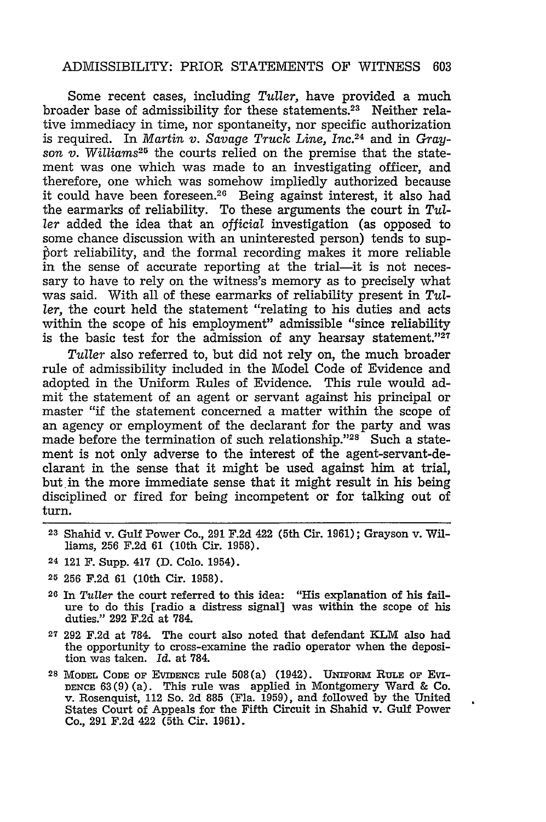Some recent cases, including *Tuller,* have provided a much broader base of admissibility for these statements.<sup>23</sup> Neither relative immediacy in time, nor spontaneity, nor specific authorization is required. In *Martin v. Savage Truck Line, Inc. <sup>24</sup>*and in *Grayson v. Williams25* the courts relied on the premise that the statement was one which was made to an investigating officer, and therefore, one which was somehow impliedly authorized because it could have been foreseen.26 Being against interest, it also had the earmarks of reliability. To these arguments the court in *Tuller* added the idea that an *official* investigation (as opposed to some chance discussion with an uninterested person) tends to supbort reliability, and the formal recording makes it more reliable in the sense of accurate reporting at the trial-it is not necessary to have to rely on the witness's memory as to precisely what was said. With all of these earmarks of reliability present in *Tuller,* the court held the statement "relating to his duties and acts within the scope of his employment" admissible "since reliability is the basic test for the admission of any hearsay statement." $27$ 

*Tuller* also referred to, but did not rely on, the much broader rule of admissibility included in the Model Code of Evidence and adopted in the Uniform Rules of Evidence. This rule would admit the statement of an agent or servant against his principal or master "if the statement concerned a matter within the scope of an agency or employment of the declarant for the party and was made before the termination of such relationship."<sup>28</sup> Such a statement is not only adverse to the interest of the agent-servant-declarant in the sense that it might be used against him at trial, but in the more immediate sense that it might result in his being disciplined or fired for being incompetent or for talking out of turn.

- **23** Shahid v. Gulf Power Co., 291 F.2d 422 (5th Cir. **1961);** Grayson v. Williams, 256 F.2d 61 (10th Cir. 1958).
- **24** 121 F. Supp. 417 **(D.** Colo. 1954).
- **25 256 F.2d 61** (10th Cir. **1958).**
- **26** In *Tuller* the court referred to this idea: "His explanation of his failure to do this [radio a distress signal] was within the scope of his duties." 292 F.2d at 784.
- **<sup>27</sup>**292 F.2d at 784. The court also noted that defendant KLM also had the opportunity to cross-examine the radio operator when the deposition was taken. *Id.* at 784.
- <sup>28</sup> MODEL CODE OF EVIDENCE rule 508(a) (1942). UNIFORM RULE OF EVI-DENCE 63(9) (a). This rule was applied in Montgomery Ward & Co. v. Rosenquist, 112 So. 2d 885 (Fla. 1959), and followed by the United States Court of Appeals for the Fifth Circuit in Shahid v. Gulf Power Co., 291 F.2d 422 (5th Cir. 1961).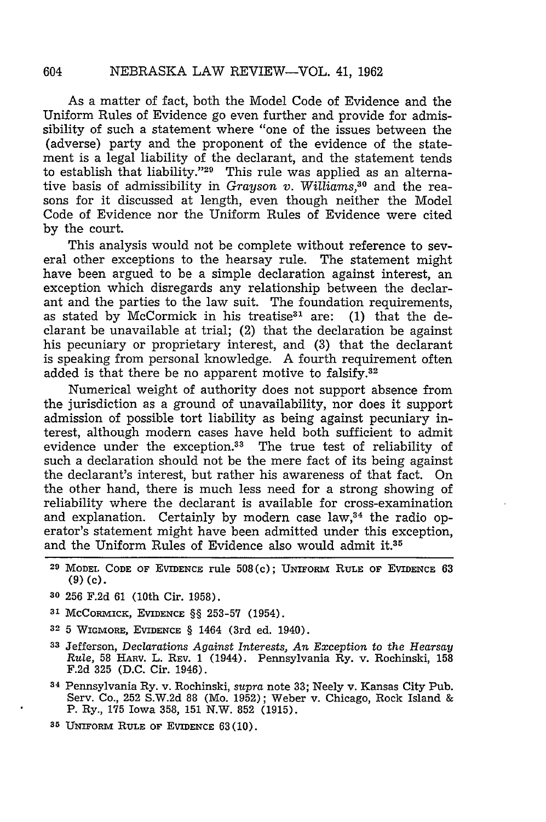As a matter of fact, both the Model Code of Evidence and the Uniform Rules of Evidence go even further and provide for admissibility of such a statement where "one of the issues between the (adverse) party and the proponent of the evidence of the statement is a legal liability of the declarant, and the statement tends to establish that liability."<sup>29</sup> This rule was applied as an alternative basis of admissibility in *Grayson v. Williams,"°* and the reasons for it discussed at length, even though neither the Model Code of Evidence nor the Uniform Rules of Evidence were cited by the court.

This analysis would not be complete without reference to several other exceptions to the hearsay rule. The statement might have been argued to be a simple declaration against interest, an exception which disregards any relationship between the declarant and the parties to the law suit. The foundation requirements, as stated by McCormick in his treatise<sup>31</sup> are:  $(1)$  that the declarant be unavailable at trial; (2) that the declaration be against his pecuniary or proprietary interest, and (3) that the declarant is speaking from personal knowledge. A fourth requirement often added is that there be no apparent motive to falsify.32

Numerical weight of authority does not support absence from the jurisdiction as a ground of unavailability, nor does it support admission of possible tort liability as being against pecuniary interest, although modern cases have held both sufficient to admit evidence under the exception.<sup>33</sup> The true test of reliability of such a declaration should not be the mere fact of its being against the declarant's interest, but rather his awareness of that fact. On the other hand, there is much less need for a strong showing of reliability where the declarant is available for cross-examination and explanation. Certainly by modern case law,<sup>34</sup> the radio operator's statement might have been admitted under this exception, and the Uniform Rules of Evidence also would admit it.35

- <sup>29</sup> MODEL CODE OF EVIDENCE rule 508(c); UNIFORM RULE OF EVIDENCE 63 **(9) (c).**
- **30** 256 F.2d 61 (10th Cir. 1958).
- **31** McCoRMICK, EVIDENCE §§ 253-57 (1954).
- **32** 5 WIGMORE, EVIDENCE § 1464 (3rd ed. 1940).
- **<sup>33</sup>**Jefferson, *Declarations Against Interests, An Exception* to *the Hearsay Rule,* 58 HARV. L. REV. 1 (1944). Pennsylvania Ry. v. Rochinski, 158 F.2d 325 (D.C. Cir. 1946).
- **<sup>34</sup>**Pennsylvania Ry. v. Rochinski, *supra* note 33; Neely v. Kansas City Pub. Serv. Co., 252 S.W.2d 88 (Mo. 1952); Weber v. Chicago, Rock Island & P. Ry., 175 Iowa 358, 151 N.W. 852 (1915).
- **35** UNiFoRRo **RULE** OF EVIDENCE 63 **(10).**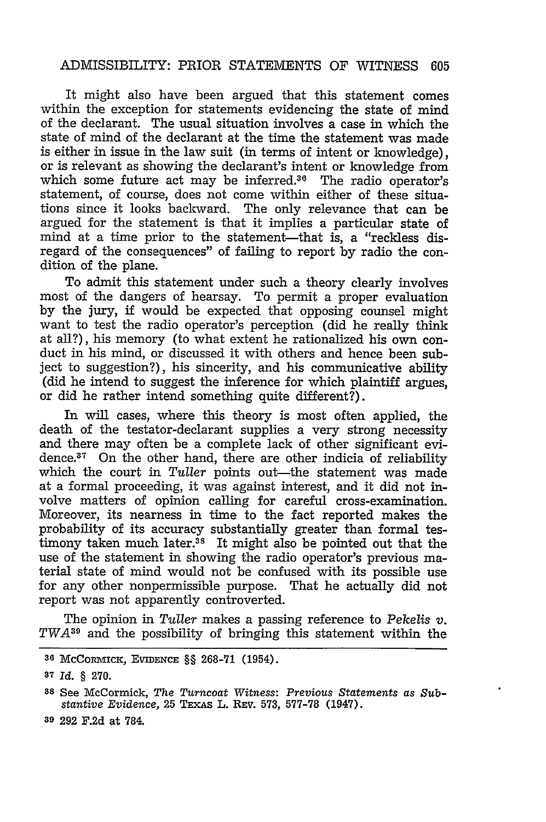It might also have been argued that this statement comes within the exception for statements evidencing the state of mind of the declarant. The usual situation involves a case in which the state of mind of the declarant at the time the statement was made is either in issue in the law suit (in terms of intent or knowledge), or is relevant as showing the declarant's intent or knowledge from which some future act may be inferred. $36$  The radio operator's statement, of course, does not come within either of these situations since it looks backward. The only relevance that can be argued for the statement is that it implies a particular state of mind at a time prior to the statement—that is, a "reckless disregard of the consequences" of failing to report by radio the condition of the plane.

To admit this statement under such a theory clearly involves most of the dangers of hearsay. To permit a proper evaluation by the jury, if would be expected that opposing counsel might want to test the radio operator's perception (did he really think at all?), his memory (to what extent he rationalized his own conduct in his mind, or discussed it with others and hence been subject to suggestion?), his sincerity, and his communicative ability (did he intend to suggest the inference for which plaintiff argues, or did he rather intend something quite different?).

In will cases, where this theory is most often applied, the death of the testator-declarant supplies a very strong necessity and there may often be a complete lack of other significant evidence.<sup>37</sup> On the other hand, there are other indicia of reliability which the court in *Tuller* points out—the statement was made at a formal proceeding, it was against interest, and it did not involve matters of opinion calling for careful cross-examination. Moreover, its nearness in time to the fact reported makes the probability of its accuracy substantially greater than formal testimony taken much later.<sup>38</sup> It might also be pointed out that the use of the statement in showing the radio operator's previous material state of mind would not be confused with its possible use for any other nonpermissible purpose. That he actually did not report was not apparently controverted.

The opinion in Tuller makes a passing reference to Pekelis *v. TWA39* and the possibility of bringing this statement within the

**39** 292 F.2d at **784.**

**<sup>36</sup> McCoRmICK,** EVIDENCE §§ **268-71** (1954).

**<sup>37</sup>***Id.* **§ 270.**

**<sup>88</sup> See** McCormick, *The Turncoat Witness: Previous Statements as Substantive Evidence,* **25** TEXAS **L. REV. 573, 577-78 (1947).**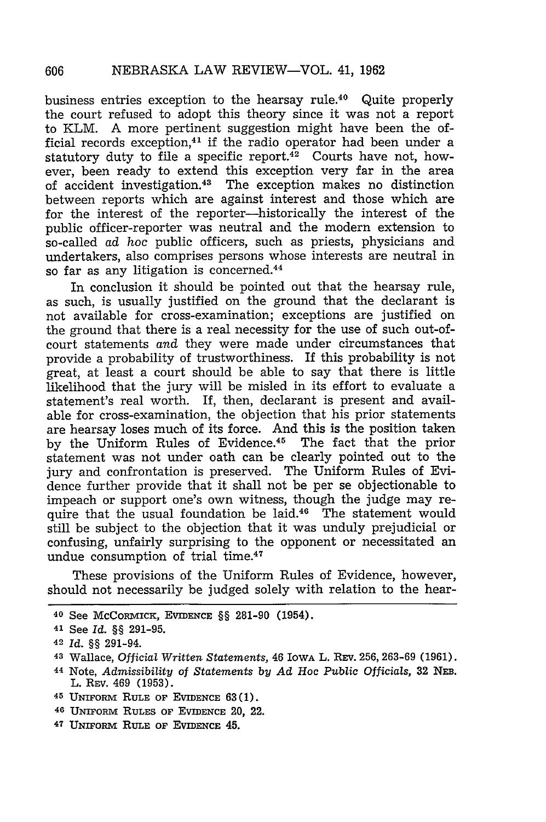business entries exception to the hearsay rule.40 Quite properly the court refused to adopt this theory since it was not a report to KLM. A more pertinent suggestion might have been the official records exception, $41$  if the radio operator had been under a statutory duty to file a specific report. $42$  Courts have not, however, been ready to extend this exception very far in the area of accident investigation.4" The exception makes no distinction between reports which are against interest and those which are for the interest of the reporter-historically the interest of the public officer-reporter was neutral and the modern extension to so-called *ad* hoc public officers, such as priests, physicians and undertakers, also comprises persons whose interests are neutral in so far as any litigation is concerned.<sup>44</sup>

In conclusion it should be pointed out that the hearsay rule, as such, is usually justified on the ground that the declarant is not available for cross-examination; exceptions are justified on the ground that there is a real necessity for the use of such out-ofcourt statements *and* they were made under circumstances that provide a probability of trustworthiness. If this probability is not great, at least a court should be able to say that there is little likelihood that the jury will be misled in its effort to evaluate a statement's real worth. If, then, declarant is present and available for cross-examination, the objection that his prior statements are hearsay loses much of its force. And this is the position taken by the Uniform Rules of Evidence.<sup>45</sup> The fact that the prior statement was not under oath can be clearly pointed out to the jury and confrontation is preserved. The Uniform Rules of Evidence further provide that it shall not be per se objectionable to impeach or support one's own witness, though the judge may require that the usual foundation be laid. $46$  The statement would still be subject to the objection that it was unduly prejudicial or confusing, unfairly surprising to the opponent or necessitated an undue consumption of trial time.47

These provisions of the Uniform Rules of Evidence, however, should not necessarily be judged solely with relation to the hear-

- <sup>46</sup> UNIFORM RULES OF EVIDENCE 20, 22.
- <sup>47</sup> UNIFORM RULE OF EVIDENCE 45.

**<sup>40</sup>** See McComvicK, **EVIDENCE** §§ 281-90 (1954).

<sup>41</sup> See *Id.* §§ **291-95.**

<sup>42</sup>*Id.* §§ 291-94.

<sup>43</sup> Wallace, *Official Written Statements,* 46 IowA L. REV. **256, 263-69 (1961).**

**<sup>44</sup>**Note, *Admissibility of Statements by Ad Hoc Public Officials,* **32 NEB.** L. REV. 469 **(1953).**

**<sup>45</sup> UNIFoRm RULE OF EVIDENCE 63(1).**